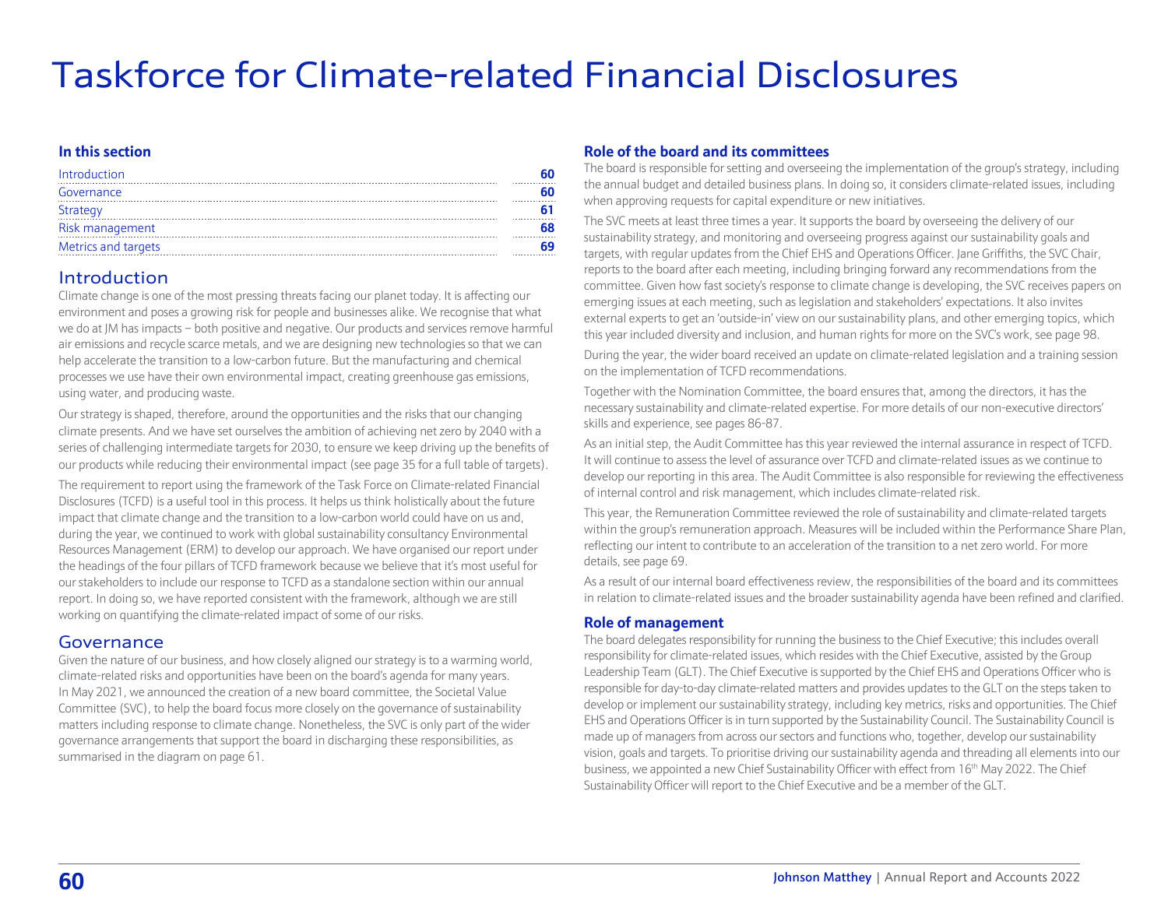# Taskforce for Climate-related Financial Disclosures

#### **In this section**

| Introduction        |  |
|---------------------|--|
| Governance          |  |
| Strategy            |  |
| Risk management     |  |
| Metrics and targets |  |

## Introduction

Climate change is one of the most pressing threats facing our planet today. It is affecting our environment and poses a growing risk for people and businesses alike. We recognise that what we do at JM has impacts – both positive and negative. Our products and services remove harmful air emissions and recycle scarce metals, and we are designing new technologies so that we can help accelerate the transition to a low-carbon future. But the manufacturing and chemical processes we use have their own environmental impact, creating greenhouse gas emissions, using water, and producing waste.

Our strategy is shaped, therefore, around the opportunities and the risks that our changing climate presents. And we have set ourselves the ambition of achieving net zero by 2040 with a series of challenging intermediate targets for 2030, to ensure we keep driving up the benefits of our products while reducing their environmental impact [\(see page 35 for a full table of targets\).](#page--1-0) 

The requirement to report using the framework of the Task Force on Climate-related Financial Disclosures (TCFD) is a useful tool in this process. It helps us think holistically about the future impact that climate change and the transition to a low-carbon world could have on us and, during the year, we continued to work with global sustainability consultancy Environmental Resources Management (ERM) to develop our approach. We have organised our report under the headings of the four pillars of TCFD framework because we believe that it's most useful for our stakeholders to include our response to TCFD as a standalone section within our annual report. In doing so, we have reported consistent with the framework, although we are still working on quantifying the climate-related impact of some of our risks.

# Governance

Given the nature of our business, and how closely aligned our strategy is to a warming world, climate-related risks and opportunities have been on the board's agenda for many years. In May 2021, we announced the creation of a new board committee, the Societal Value Committee (SVC), to help the board focus more closely on the governance of sustainability matters including response to climate change. Nonetheless, the SVC is only part of the wider governance arrangements that support the board in discharging these responsibilities, as summarised in the diagram [on page 61.](#page-1-0)

#### **Role of the board and its committees**

The board is responsible for setting and overseeing the implementation of the group's strategy, including the annual budget and detailed business plans. In doing so, it considers climate-related issues, including when approving requests for capital expenditure or new initiatives.

The SVC meets at least three times a year. It supports the board by overseeing the delivery of our sustainability strategy, and monitoring and overseeing progress against our sustainability goals and targets, with regular updates from the Chief EHS and Operations Officer. Jane Griffiths, the SVC Chair, reports to the board after each meeting, including bringing forward any recommendations from the committee. Given how fast society's response to climate change is developing, the SVC receives papers on emerging issues at each meeting, such as legislation and stakeholders' expectations. It also invites external experts to get an 'outside-in' view on our sustainability plans, and other emerging topics, which this year included diversity and inclusion, and human rights for more on the SVC's work, [see page 98.](#page--1-0) 

During the year, the wider board received an update on climate-related legislation and a training session on the implementation of TCFD recommendations.

Together with the Nomination Committee, the board ensures that, among the directors, it has the necessary sustainability and climate-related expertise. For more details of our non-executive directors' skills and experience, [see pages 86-87.](#page--1-0)

As an initial step, the Audit Committee has this year reviewed the internal assurance in respect of TCFD. It will continue to assess the level of assurance over TCFD and climate-related issues as we continue to develop our reporting in this area. The Audit Committee is also responsible for reviewing the effectiveness of internal control and risk management, which includes climate-related risk.

This year, the Remuneration Committee reviewed the role of sustainability and climate-related targets within the group's remuneration approach. Measures will be included within the Performance Share Plan, reflecting our intent to contribute to an acceleration of the transition to a net zero world. For more [details, see page 69.](#page-9-0)

As a result of our internal board effectiveness review, the responsibilities of the board and its committees in relation to climate-related issues and the broader sustainability agenda have been refined and clarified.

#### **Role of management**

The board delegates responsibility for running the business to the Chief Executive; this includes overall responsibility for climate-related issues, which resides with the Chief Executive, assisted by the Group Leadership Team (GLT). The Chief Executive is supported by the Chief EHS and Operations Officer who is responsible for day-to-day climate-related matters and provides updates to the GLT on the steps taken to develop or implement our sustainability strategy, including key metrics, risks and opportunities. The Chief EHS and Operations Officer is in turn supported by the Sustainability Council. The Sustainability Council is made up of managers from across our sectors and functions who, together, develop our sustainability vision, goals and targets. To prioritise driving our sustainability agenda and threading all elements into our business, we appointed a new Chief Sustainability Officer with effect from 16<sup>th</sup> May 2022. The Chief Sustainability Officer will report to the Chief Executive and be a member of the GLT.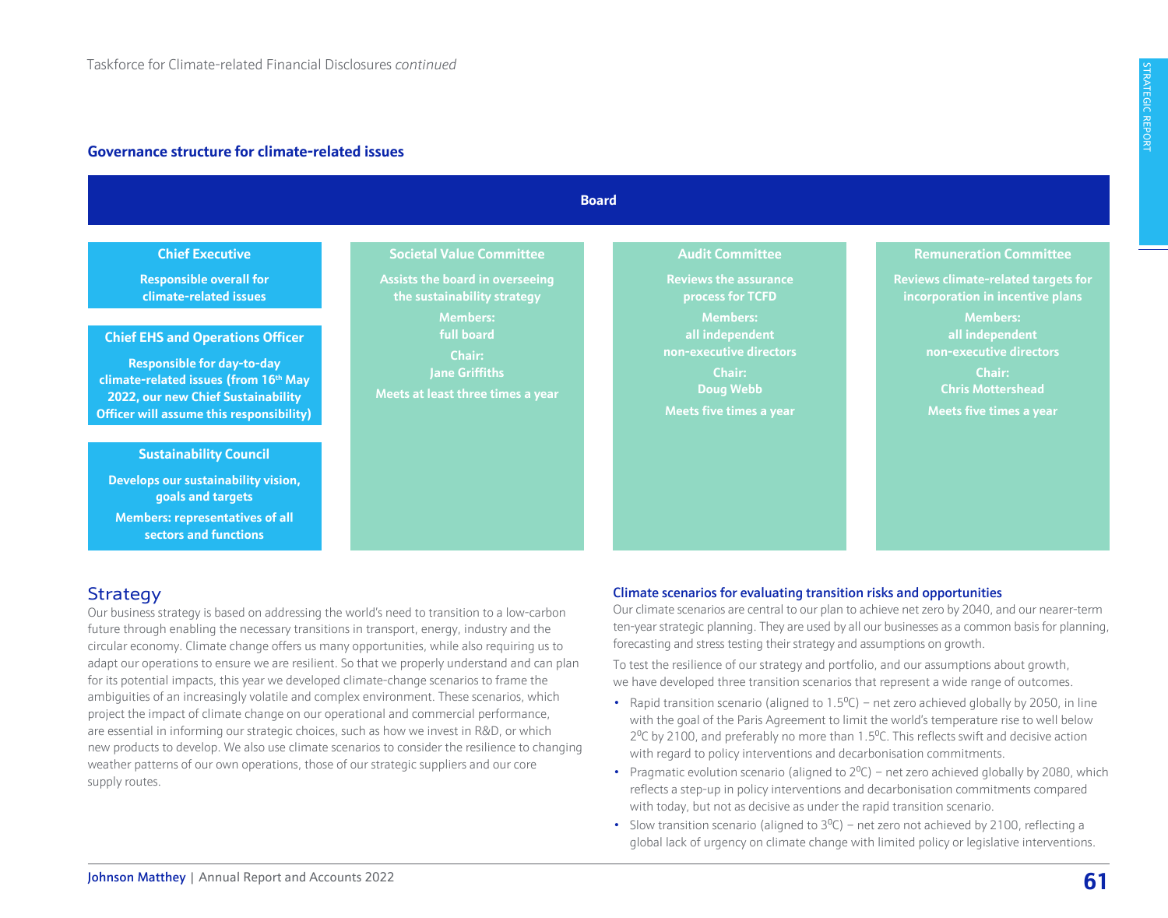#### <span id="page-1-0"></span>**Governance structure for climate-related issues**

|                                                                                                                                                                                                                                           | <b>Board</b>                                                                                                                                                                                               |                                                                                                                                                                                                      |                                                                                                                                                                                                                                            |  |  |  |  |  |
|-------------------------------------------------------------------------------------------------------------------------------------------------------------------------------------------------------------------------------------------|------------------------------------------------------------------------------------------------------------------------------------------------------------------------------------------------------------|------------------------------------------------------------------------------------------------------------------------------------------------------------------------------------------------------|--------------------------------------------------------------------------------------------------------------------------------------------------------------------------------------------------------------------------------------------|--|--|--|--|--|
| <b>Chief Executive</b><br>ponsible overall for<br>mate-related issues<br><b>Sand Operations Officer</b><br>onsible for day-to-day<br>lated issues (from 16 <sup>th</sup> May<br>r new Chief Sustainability<br>assume this responsibility) | <b>Societal Value Committee</b><br><b>Assists the board in overseeing</b><br>the sustainability strategy<br><b>Members:</b><br>full board<br>Chair:<br>Jane Griffiths<br>Meets at least three times a year | <b>Audit Committee</b><br><b>Reviews the assurance</b><br>process for TCFD<br><b>Members:</b><br>all independent<br>non-executive directors<br>Chair:<br><b>Doug Webb</b><br>Meets five times a year | <b>Remuneration Committee</b><br>Reviews climate-related targets for<br>incorporation in incentive plans<br><b>Members:</b><br>all independent<br>non-executive directors<br>Chair:<br><b>Chris Mottershead</b><br>Meets five times a year |  |  |  |  |  |
| <b>tainability Council</b><br>our sustainability vision,<br>goals and targets<br>rs: representatives of all<br>ctors and functions                                                                                                        |                                                                                                                                                                                                            |                                                                                                                                                                                                      |                                                                                                                                                                                                                                            |  |  |  |  |  |

# **Strategy**

**Responsible clima** 

**Susta** 

**Develops of goals and targets Members: secto** 

**Chief EHS: Respons climate-relat 2022, our n Officer will as** 

Our business strategy is based on addressing the world's need to transition to a low-carbon future through enabling the necessary transitions in transport, energy, industry and the circular economy. Climate change offers us many opportunities, while also requiring us to adapt our operations to ensure we are resilient. So that we properly understand and can plan for its potential impacts, this year we developed climate-change scenarios to frame the ambiguities of an increasingly volatile and complex environment. These scenarios, which project the impact of climate change on our operational and commercial performance, are essential in informing our strategic choices, such as how we invest in R&D, or which new products to develop. We also use climate scenarios to consider the resilience to changing weather patterns of our own operations, those of our strategic suppliers and our core supply routes.

#### Climate scenarios for evaluating transition risks and opportunities

Our climate scenarios are central to our plan to achieve net zero by 2040, and our nearer-term ten-year strategic planning. They are used by all our businesses as a common basis for planning, forecasting and stress testing their strategy and assumptions on growth.

To test the resilience of our strategy and portfolio, and our assumptions about growth, we have developed three transition scenarios that represent a wide range of outcomes.

- Rapid transition scenario (aligned to  $1.5^{\circ}$ C) net zero achieved globally by 2050, in line with the goal of the Paris Agreement to limit the world's temperature rise to well below  $2^{\circ}$ C by 2100, and preferably no more than 1.5 $^{\circ}$ C. This reflects swift and decisive action with regard to policy interventions and decarbonisation commitments.
- Pragmatic evolution scenario (aligned to  $2^0C$ ) net zero achieved globally by 2080, which reflects a step-up in policy interventions and decarbonisation commitments compared with today, but not as decisive as under the rapid transition scenario.
- Slow transition scenario (aligned to  $3^0C$ ) net zero not achieved by 2100, reflecting a global lack of urgency on climate change with limited policy or legislative interventions.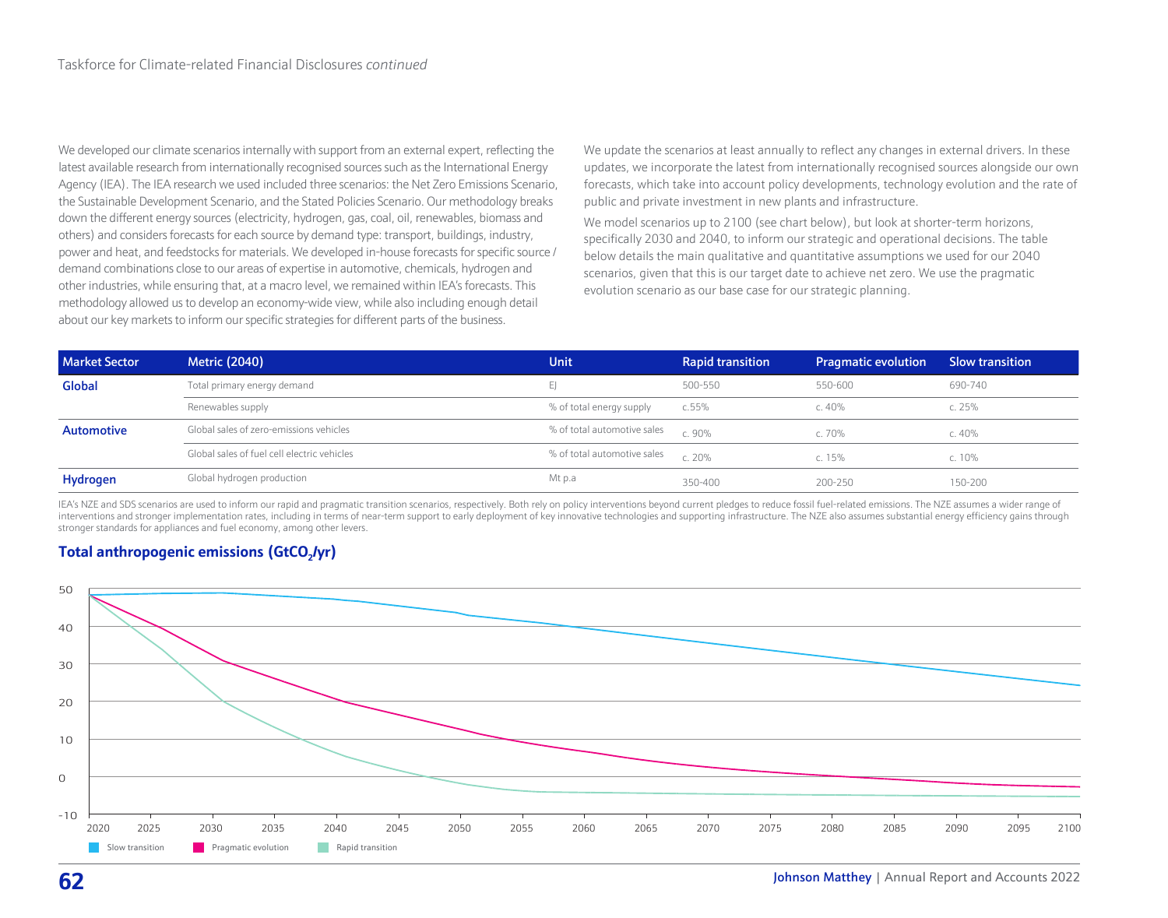We developed our climate scenarios internally with support from an external expert, reflecting the latest available research from internationally recognised sources such as the International Energy Agency (IEA). The IEA research we used included three scenarios: the Net Zero Emissions Scenario, the Sustainable Development Scenario, and the Stated Policies Scenario. Our methodology breaks down the different energy sources (electricity, hydrogen, gas, coal, oil, renewables, biomass and others) and considers forecasts for each source by demand type: transport, buildings, industry, power and heat, and feedstocks for materials. We developed in-house forecasts for specific source / demand combinations close to our areas of expertise in automotive, chemicals, hydrogen and other industries, while ensuring that, at a macro level, we remained within IEA's forecasts. This methodology allowed us to develop an economy-wide view, while also including enough detail about our key markets to inform our specific strategies for different parts of the business.

We update the scenarios at least annually to reflect any changes in external drivers. In these updates, we incorporate the latest from internationally recognised sources alongside our own forecasts, which take into account policy developments, technology evolution and the rate of public and private investment in new plants and infrastructure.

We model scenarios up to 2100 (see chart below), but look at shorter-term horizons, specifically 2030 and 2040, to inform our strategic and operational decisions. The table below details the main qualitative and quantitative assumptions we used for our 2040 scenarios, given that this is our target date to achieve net zero. We use the pragmatic evolution scenario as our base case for our strategic planning.

| <b>Market Sector</b> | <b>Metric (2040)</b>                        | <b>Unit</b>                 | <b>Rapid transition</b> | <b>Pragmatic evolution</b> | <b>Slow transition</b> |
|----------------------|---------------------------------------------|-----------------------------|-------------------------|----------------------------|------------------------|
| Global               | Total primary energy demand                 |                             | 500-550                 | 550-600                    | 690-740                |
|                      | Renewables supply                           | % of total energy supply    | c.55%                   | c. $40%$                   | c. $25%$               |
| Automotive           | Global sales of zero-emissions vehicles     | % of total automotive sales | C.90%                   | c. 70%                     | c. 40%                 |
|                      | Global sales of fuel cell electric vehicles | % of total automotive sales | C. 20%                  | c. $15%$                   | c. 10%                 |
| Hydrogen             | Global hydrogen production                  | Mt p.a                      | 350-400                 | 200-250                    | 150-200                |

IEA's NZE and SDS scenarios are used to inform our rapid and pragmatic transition scenarios, respectively. Both rely on policy interventions beyond current pledges to reduce fossil fuel-related emissions. The NZE assumes a interventions and stronger implementation rates, including in terms of near-term support to early deployment of key innovative technologies and supporting infrastructure. The NZE also assumes substantial energy efficiency stronger standards for appliances and fuel economy, among other levers.



# **Total anthropogenic emissions (GtCO<sub>2</sub>/yr)**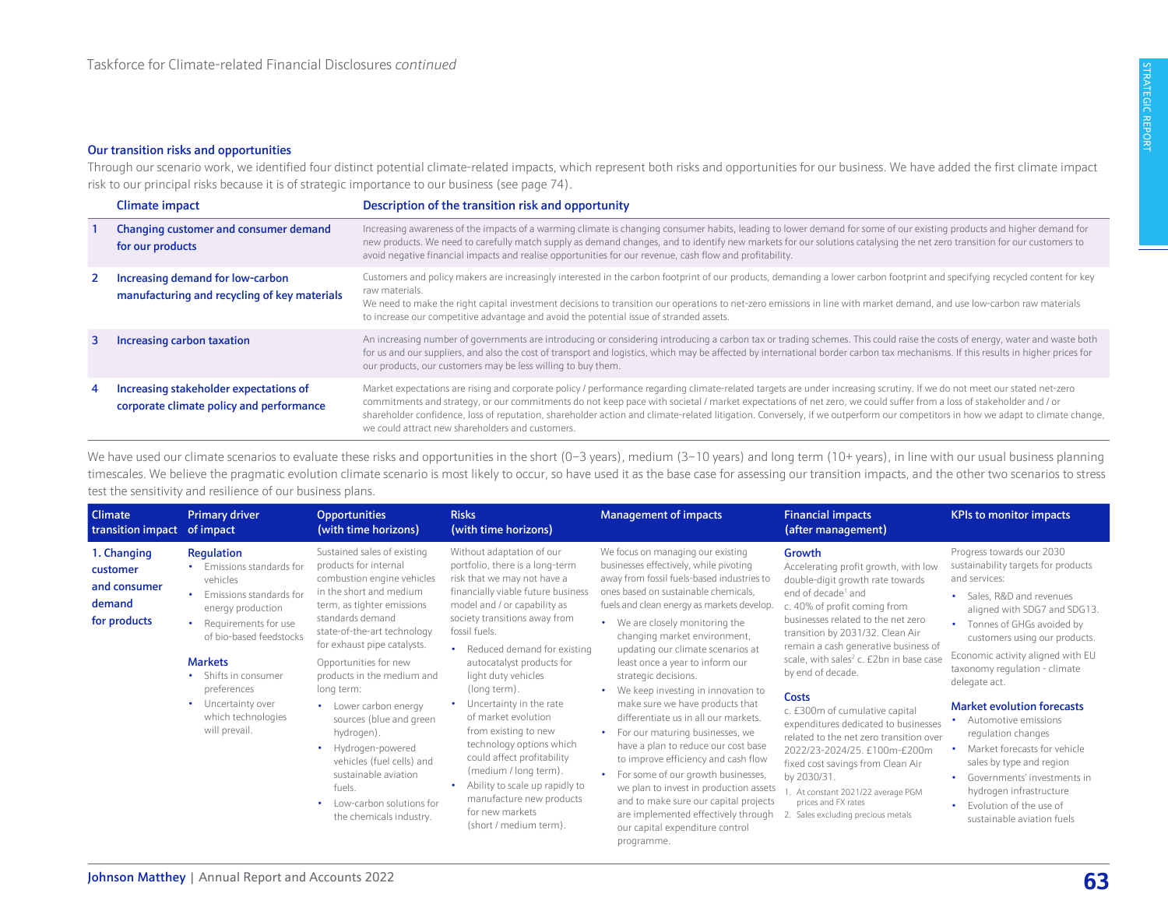#### <span id="page-3-0"></span>Our transition risks and opportunities

Through our scenario work, we identified four distinct potential climate-related impacts, which represent both risks and opportunities for our business. We have added the first climate impact risk to our principal risks because it is of strategic importance to our business [\(see page 74\).](#page--1-0)

|   | Climate impact                                                                     | Description of the transition risk and opportunity                                                                                                                                                                                                                                                                                                                                                                                                                                                                                                                                   |
|---|------------------------------------------------------------------------------------|--------------------------------------------------------------------------------------------------------------------------------------------------------------------------------------------------------------------------------------------------------------------------------------------------------------------------------------------------------------------------------------------------------------------------------------------------------------------------------------------------------------------------------------------------------------------------------------|
|   | Changing customer and consumer demand<br>for our products                          | Increasing awareness of the impacts of a warming climate is changing consumer habits, leading to lower demand for some of our existing products and higher demand for<br>new products. We need to carefully match supply as demand changes, and to identify new markets for our solutions catalysing the net zero transition for our customers to<br>avoid negative financial impacts and realise opportunities for our revenue, cash flow and profitability.                                                                                                                        |
|   | Increasing demand for low-carbon<br>manufacturing and recycling of key materials   | Customers and policy makers are increasingly interested in the carbon footprint of our products, demanding a lower carbon footprint and specifying recycled content for key<br>raw materials.<br>We need to make the right capital investment decisions to transition our operations to net-zero emissions in line with market demand, and use low-carbon raw materials<br>to increase our competitive advantage and avoid the potential issue of stranded assets.                                                                                                                   |
| 3 | Increasing carbon taxation                                                         | An increasing number of governments are introducing or considering introducing a carbon tax or trading schemes. This could raise the costs of energy, water and waste both<br>for us and our suppliers, and also the cost of transport and logistics, which may be affected by international border carbon tax mechanisms. If this results in higher prices for<br>our products, our customers may be less willing to buy them.                                                                                                                                                      |
|   | Increasing stakeholder expectations of<br>corporate climate policy and performance | Market expectations are rising and corporate policy / performance regarding climate-related targets are under increasing scrutiny. If we do not meet our stated net-zero<br>commitments and strategy, or our commitments do not keep pace with societal / market expectations of net zero, we could suffer from a loss of stakeholder and / or<br>shareholder confidence, loss of reputation, shareholder action and climate-related litigation. Conversely, if we outperform our competitors in how we adapt to climate change,<br>we could attract new shareholders and customers. |

We have used our climate scenarios to evaluate these risks and opportunities in the short (0-3 years), medium (3-10 years) and long term (10+ years), in line with our usual business planning timescales. We believe the pragmatic evolution climate scenario is most likely to occur, so have used it as the base case for assessing our transition impacts, and the other two scenarios to stress test the sensitivity and resilience of our business plans.

| <b>Climate</b><br>transition impact                               | <b>Primary driver</b><br>of impact                                                                                                                                                                                                                                                                    | <b>Opportunities</b><br>(with time horizons)                                                                                                                                                                                                                                                                                                                                                                                                                                                                       | <b>Risks</b><br>(with time horizons)                                                                                                                                                                                                                                                                                                                                                                                                                                                                                                                                                               | <b>Management of impacts</b>                                                                                                                                                                                                                                                                                                                                                                                                                                                                                                                                                                                                                                                                                                                                                                                                                | <b>Financial impacts</b><br>(after management)                                                                                                                                                                                                                                                                                                                                                                                                                                                                                                                                                                                                                             | <b>KPIs to monitor impacts</b>                                                                                                                                                                                                                                                                                                                                                                                                                                                                                                                                      |
|-------------------------------------------------------------------|-------------------------------------------------------------------------------------------------------------------------------------------------------------------------------------------------------------------------------------------------------------------------------------------------------|--------------------------------------------------------------------------------------------------------------------------------------------------------------------------------------------------------------------------------------------------------------------------------------------------------------------------------------------------------------------------------------------------------------------------------------------------------------------------------------------------------------------|----------------------------------------------------------------------------------------------------------------------------------------------------------------------------------------------------------------------------------------------------------------------------------------------------------------------------------------------------------------------------------------------------------------------------------------------------------------------------------------------------------------------------------------------------------------------------------------------------|---------------------------------------------------------------------------------------------------------------------------------------------------------------------------------------------------------------------------------------------------------------------------------------------------------------------------------------------------------------------------------------------------------------------------------------------------------------------------------------------------------------------------------------------------------------------------------------------------------------------------------------------------------------------------------------------------------------------------------------------------------------------------------------------------------------------------------------------|----------------------------------------------------------------------------------------------------------------------------------------------------------------------------------------------------------------------------------------------------------------------------------------------------------------------------------------------------------------------------------------------------------------------------------------------------------------------------------------------------------------------------------------------------------------------------------------------------------------------------------------------------------------------------|---------------------------------------------------------------------------------------------------------------------------------------------------------------------------------------------------------------------------------------------------------------------------------------------------------------------------------------------------------------------------------------------------------------------------------------------------------------------------------------------------------------------------------------------------------------------|
| 1. Changing<br>customer<br>and consumer<br>demand<br>for products | Regulation<br>Emissions standards for<br>vehicles<br>Emissions standards for<br>٠<br>energy production<br>Requirements for use<br>of bio-based feedstocks<br><b>Markets</b><br>Shifts in consumer<br>$\bullet$<br>preferences<br>Uncertainty over<br>$\bullet$<br>which technologies<br>will prevail. | Sustained sales of existing<br>products for internal<br>combustion engine vehicles<br>in the short and medium<br>term, as tighter emissions<br>standards demand<br>state-of-the-art technology<br>for exhaust pipe catalysts.<br>Opportunities for new<br>products in the medium and<br>long term:<br>• Lower carbon energy<br>sources (blue and green<br>hydrogen).<br>• Hydrogen-powered<br>vehicles (fuel cells) and<br>sustainable aviation<br>fuels.<br>• Low-carbon solutions for<br>the chemicals industry. | Without adaptation of our<br>portfolio, there is a long-term<br>risk that we may not have a<br>financially viable future business<br>model and / or capability as<br>society transitions away from<br>fossil fuels.<br>• Reduced demand for existing<br>autocatalyst products for<br>light duty vehicles<br>(long term).<br>Uncertainty in the rate<br>of market evolution<br>from existing to new<br>technology options which<br>could affect profitability<br>(medium / long term).<br>• Ability to scale up rapidly to<br>manufacture new products<br>for new markets<br>(short / medium term). | We focus on managing our existing<br>businesses effectively, while pivoting<br>away from fossil fuels-based industries to<br>ones based on sustainable chemicals,<br>fuels and clean energy as markets develop.<br>• We are closely monitoring the<br>changing market environment,<br>updating our climate scenarios at<br>least once a year to inform our<br>strategic decisions.<br>• We keep investing in innovation to<br>make sure we have products that<br>differentiate us in all our markets.<br>• For our maturing businesses, we<br>have a plan to reduce our cost base<br>to improve efficiency and cash flow<br>• For some of our growth businesses,<br>we plan to invest in production assets<br>and to make sure our capital projects<br>are implemented effectively through<br>our capital expenditure control<br>programme. | Growth<br>Accelerating profit growth, with low<br>double-digit growth rate towards<br>end of decade <sup>1</sup> and<br>c. 40% of profit coming from<br>businesses related to the net zero<br>transition by 2031/32. Clean Air<br>remain a cash generative business of<br>scale, with sales <sup>2</sup> c. £2bn in base case<br>by end of decade.<br><b>Costs</b><br>c. £300m of cumulative capital<br>expenditures dedicated to businesses<br>related to the net zero transition over<br>2022/23-2024/25. £100m-£200m<br>fixed cost savings from Clean Air<br>by 2030/31.<br>. At constant 2021/22 average PGM<br>prices and FX rates<br>Sales excluding precious metals | Progress towards our 2030<br>sustainability targets for products<br>and services:<br>Sales, R&D and revenues<br>aligned with SDG7 and SDG13.<br>Tonnes of GHGs avoided by<br>customers using our products.<br>Economic activity aligned with EU<br>taxonomy regulation - climate<br>delegate act.<br><b>Market evolution forecasts</b><br>Automotive emissions<br>regulation changes<br>Market forecasts for vehicle<br>sales by type and region<br>Governments' investments in<br>hydrogen infrastructure<br>Evolution of the use of<br>sustainable aviation fuels |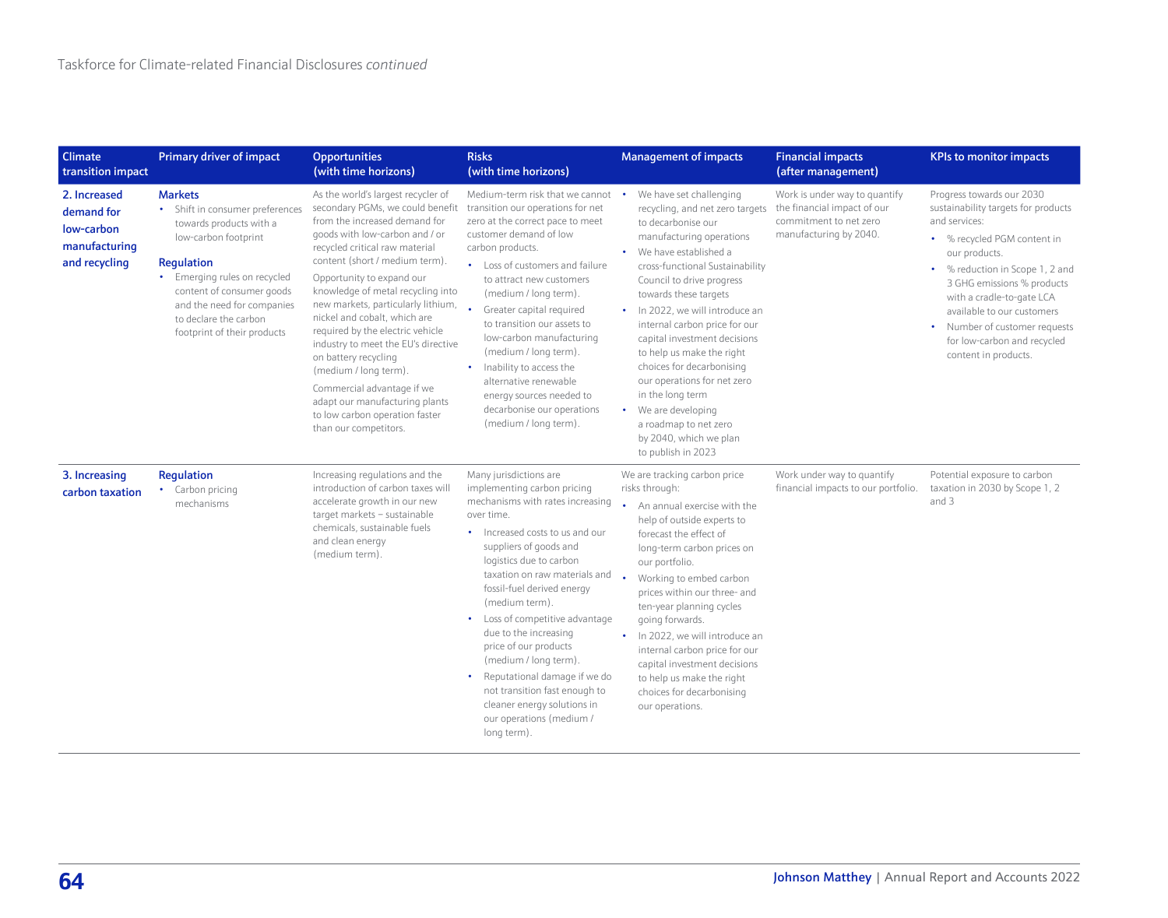| <b>Climate</b><br>transition impact                                        | Primary driver of impact                                                                                                                                                                                                                                              | <b>Opportunities</b><br>(with time horizons)                                                                                                                                                                                                                                                                                                                                                                                                                                                                                                                                                                 | <b>Risks</b><br>(with time horizons)                                                                                                                                                                                                                                                                                                                                                                                                                                                                                                                  | <b>Management of impacts</b>                                                                                                                                                                                                                                                                                                                                                                                                                                                                                                                  | <b>Financial impacts</b><br>(after management)                                                                   | <b>KPIs to monitor impacts</b>                                                                                                                                                                                                                                                                                                                        |
|----------------------------------------------------------------------------|-----------------------------------------------------------------------------------------------------------------------------------------------------------------------------------------------------------------------------------------------------------------------|--------------------------------------------------------------------------------------------------------------------------------------------------------------------------------------------------------------------------------------------------------------------------------------------------------------------------------------------------------------------------------------------------------------------------------------------------------------------------------------------------------------------------------------------------------------------------------------------------------------|-------------------------------------------------------------------------------------------------------------------------------------------------------------------------------------------------------------------------------------------------------------------------------------------------------------------------------------------------------------------------------------------------------------------------------------------------------------------------------------------------------------------------------------------------------|-----------------------------------------------------------------------------------------------------------------------------------------------------------------------------------------------------------------------------------------------------------------------------------------------------------------------------------------------------------------------------------------------------------------------------------------------------------------------------------------------------------------------------------------------|------------------------------------------------------------------------------------------------------------------|-------------------------------------------------------------------------------------------------------------------------------------------------------------------------------------------------------------------------------------------------------------------------------------------------------------------------------------------------------|
| 2. Increased<br>demand for<br>low-carbon<br>manufacturing<br>and recycling | <b>Markets</b><br>• Shift in consumer preferences<br>towards products with a<br>low-carbon footprint<br>Regulation<br>• Emerging rules on recycled<br>content of consumer goods<br>and the need for companies<br>to declare the carbon<br>footprint of their products | As the world's largest recycler of<br>secondary PGMs, we could benefit<br>from the increased demand for<br>goods with low-carbon and / or<br>recycled critical raw material<br>content (short / medium term).<br>Opportunity to expand our<br>knowledge of metal recycling into<br>new markets, particularly lithium,<br>nickel and cobalt, which are<br>required by the electric vehicle<br>industry to meet the EU's directive<br>on battery recycling<br>(medium / long term).<br>Commercial advantage if we<br>adapt our manufacturing plants<br>to low carbon operation faster<br>than our competitors. | Medium-term risk that we cannot<br>transition our operations for net<br>zero at the correct pace to meet<br>customer demand of low<br>carbon products.<br>• Loss of customers and failure<br>to attract new customers<br>(medium / long term).<br>Greater capital required<br>to transition our assets to<br>low-carbon manufacturing<br>(medium / long term).<br>Inability to access the<br>$\bullet$<br>alternative renewable<br>energy sources needed to<br>decarbonise our operations<br>(medium / long term).                                    | We have set challenging<br>recycling, and net zero targets<br>to decarbonise our<br>manufacturing operations<br>We have established a<br>cross-functional Sustainability<br>Council to drive progress<br>towards these targets<br>• In 2022, we will introduce an<br>internal carbon price for our<br>capital investment decisions<br>to help us make the right<br>choices for decarbonising<br>our operations for net zero<br>in the long term<br>We are developing<br>a roadmap to net zero<br>by 2040, which we plan<br>to publish in 2023 | Work is under way to quantify<br>the financial impact of our<br>commitment to net zero<br>manufacturing by 2040. | Progress towards our 2030<br>sustainability targets for products<br>and services:<br>• % recycled PGM content in<br>our products.<br>• % reduction in Scope 1, 2 and<br>3 GHG emissions % products<br>with a cradle-to-gate LCA<br>available to our customers<br>• Number of customer requests<br>for low-carbon and recycled<br>content in products. |
| 3. Increasing<br>carbon taxation                                           | Regulation<br>• Carbon pricing<br>mechanisms                                                                                                                                                                                                                          | Increasing regulations and the<br>introduction of carbon taxes will<br>accelerate growth in our new<br>target markets - sustainable<br>chemicals, sustainable fuels<br>and clean energy<br>(medium term).                                                                                                                                                                                                                                                                                                                                                                                                    | Many jurisdictions are<br>implementing carbon pricing<br>mechanisms with rates increasing<br>over time.<br>• Increased costs to us and our<br>suppliers of goods and<br>logistics due to carbon<br>taxation on raw materials and<br>fossil-fuel derived energy<br>(medium term).<br>• Loss of competitive advantage<br>due to the increasing<br>price of our products<br>(medium / long term)<br>Reputational damage if we do<br>$\bullet$<br>not transition fast enough to<br>cleaner energy solutions in<br>our operations (medium /<br>long term). | We are tracking carbon price<br>risks through:<br>An annual exercise with the<br>help of outside experts to<br>forecast the effect of<br>long-term carbon prices on<br>our portfolio.<br>Working to embed carbon<br>prices within our three- and<br>ten-year planning cycles<br>going forwards.<br>In 2022, we will introduce an<br>internal carbon price for our<br>capital investment decisions<br>to help us make the right<br>choices for decarbonising<br>our operations.                                                                | Work under way to quantify<br>financial impacts to our portfolio.                                                | Potential exposure to carbon<br>taxation in 2030 by Scope 1, 2<br>and 3                                                                                                                                                                                                                                                                               |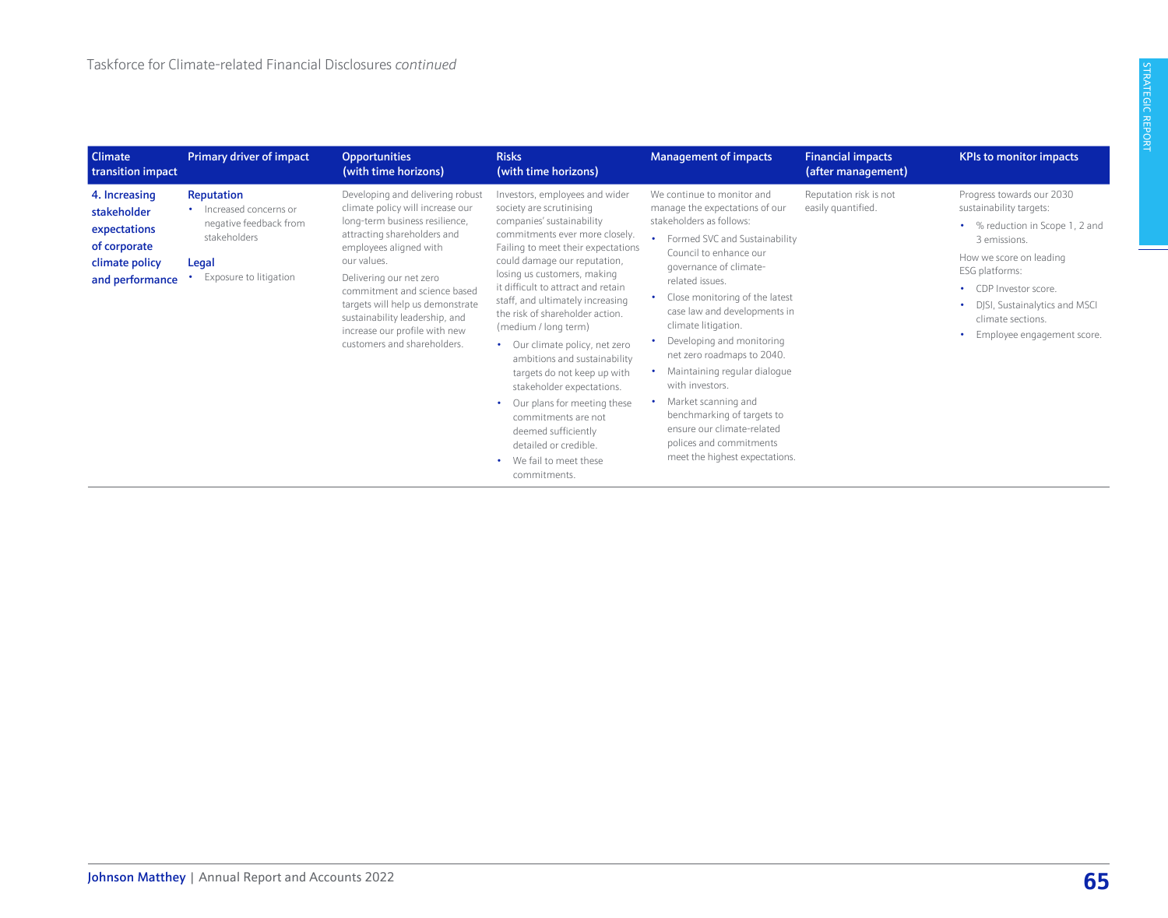| <b>Climate</b><br>transition impact                                                               | Primary driver of impact                                                                                           | <b>Opportunities</b><br>(with time horizons)                                                                                                                                                                                                                                                                                                                                    | <b>Risks</b><br>(with time horizons)                                                                                                                                                                                                                                                                                                                                                                                                                                                                                                                                                                                                             | <b>Management of impacts</b>                                                                                                                                                                                                                                                                                                                                                                                                                                                                                                                            | <b>Financial impacts</b><br>(after management) | <b>KPIs to monitor impacts</b>                                                                                                                                                                                                                                      |
|---------------------------------------------------------------------------------------------------|--------------------------------------------------------------------------------------------------------------------|---------------------------------------------------------------------------------------------------------------------------------------------------------------------------------------------------------------------------------------------------------------------------------------------------------------------------------------------------------------------------------|--------------------------------------------------------------------------------------------------------------------------------------------------------------------------------------------------------------------------------------------------------------------------------------------------------------------------------------------------------------------------------------------------------------------------------------------------------------------------------------------------------------------------------------------------------------------------------------------------------------------------------------------------|---------------------------------------------------------------------------------------------------------------------------------------------------------------------------------------------------------------------------------------------------------------------------------------------------------------------------------------------------------------------------------------------------------------------------------------------------------------------------------------------------------------------------------------------------------|------------------------------------------------|---------------------------------------------------------------------------------------------------------------------------------------------------------------------------------------------------------------------------------------------------------------------|
| 4. Increasing<br>stakeholder<br>expectations<br>of corporate<br>climate policy<br>and performance | Reputation<br>• Increased concerns or<br>negative feedback from<br>stakeholders<br>Legal<br>Exposure to litigation | Developing and delivering robust<br>climate policy will increase our<br>long-term business resilience,<br>attracting shareholders and<br>employees aligned with<br>our values.<br>Delivering our net zero<br>commitment and science based<br>targets will help us demonstrate<br>sustainability leadership, and<br>increase our profile with new<br>customers and shareholders. | Investors, employees and wider<br>society are scrutinising<br>companies' sustainability<br>commitments ever more closely.<br>Failing to meet their expectations<br>could damage our reputation,<br>losing us customers, making<br>it difficult to attract and retain<br>staff, and ultimately increasing<br>the risk of shareholder action.<br>(medium / long term)<br>• Our climate policy, net zero<br>ambitions and sustainability<br>targets do not keep up with<br>stakeholder expectations.<br>Our plans for meeting these<br>commitments are not<br>deemed sufficiently<br>detailed or credible.<br>We fail to meet these<br>commitments. | We continue to monitor and<br>manage the expectations of our<br>stakeholders as follows:<br>Formed SVC and Sustainability<br>Council to enhance our<br>governance of climate-<br>related issues.<br>Close monitoring of the latest<br>case law and developments in<br>climate litigation.<br>Developing and monitoring<br>net zero roadmaps to 2040.<br>Maintaining regular dialogue<br>with investors.<br>Market scanning and<br>benchmarking of targets to<br>ensure our climate-related<br>polices and commitments<br>meet the highest expectations. | Reputation risk is not<br>easily quantified.   | Progress towards our 2030<br>sustainability targets:<br>• % reduction in Scope 1, 2 and<br>3 emissions.<br>How we score on leading<br>ESG platforms:<br>• CDP Investor score.<br>• DJSI, Sustainalytics and MSCI<br>climate sections.<br>Employee engagement score. |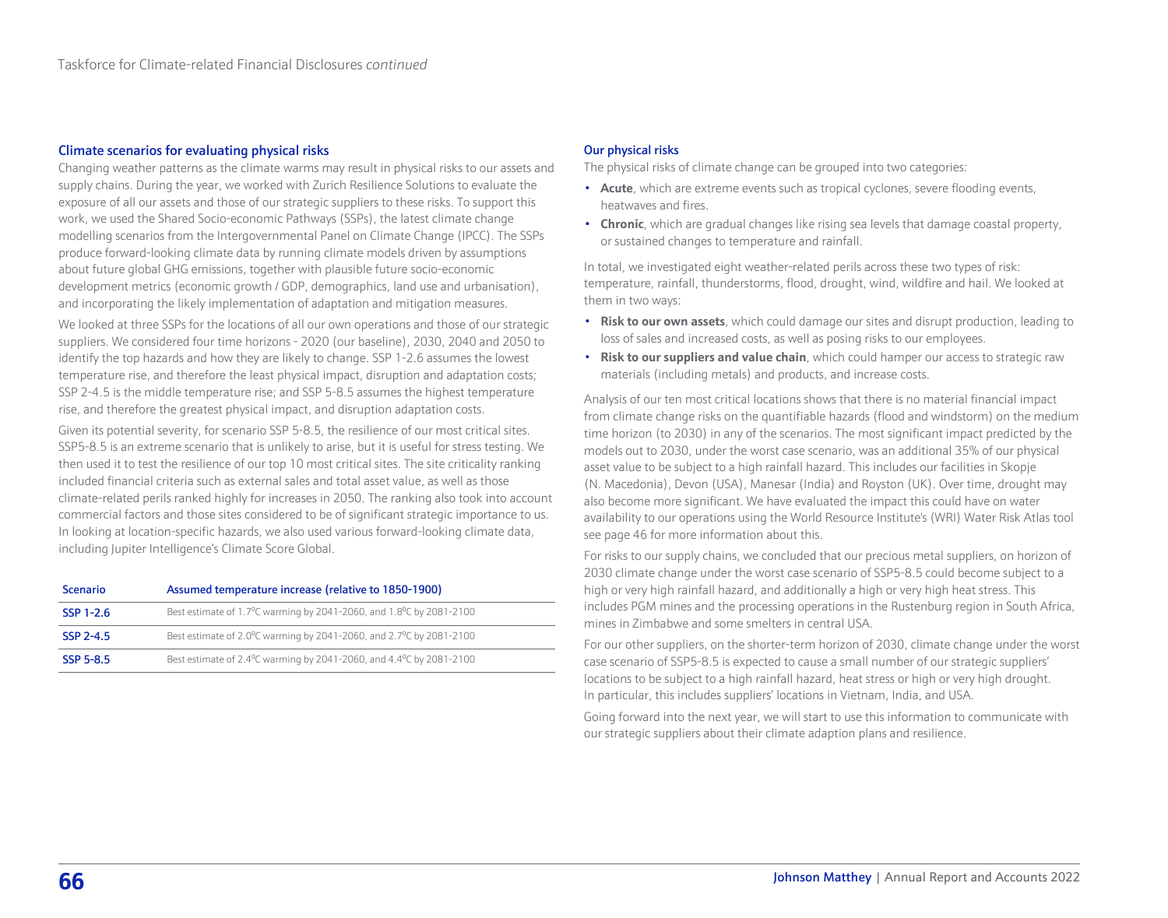#### <span id="page-6-0"></span>Climate scenarios for evaluating physical risks

Changing weather patterns as the climate warms may result in physical risks to our assets and supply chains. During the year, we worked with Zurich Resilience Solutions to evaluate the exposure of all our assets and those of our strategic suppliers to these risks. To support this work, we used the Shared Socio-economic Pathways (SSPs), the latest climate change modelling scenarios from the Intergovernmental Panel on Climate Change (IPCC). The SSPs produce forward-looking climate data by running climate models driven by assumptions about future global GHG emissions, together with plausible future socio-economic development metrics (economic growth / GDP, demographics, land use and urbanisation), and incorporating the likely implementation of adaptation and mitigation measures.

We looked at three SSPs for the locations of all our own operations and those of our strategic suppliers. We considered four time horizons - 2020 (our baseline), 2030, 2040 and 2050 to identify the top hazards and how they are likely to change. SSP 1-2.6 assumes the lowest temperature rise, and therefore the least physical impact, disruption and adaptation costs; SSP 2-4.5 is the middle temperature rise; and SSP 5-8.5 assumes the highest temperature rise, and therefore the greatest physical impact, and disruption adaptation costs.

Given its potential severity, for scenario SSP 5-8.5, the resilience of our most critical sites. SSP5-8.5 is an extreme scenario that is unlikely to arise, but it is useful for stress testing. We then used it to test the resilience of our top 10 most critical sites. The site criticality ranking included financial criteria such as external sales and total asset value, as well as those climate-related perils ranked highly for increases in 2050. The ranking also took into account commercial factors and those sites considered to be of significant strategic importance to us. In looking at location-specific hazards, we also used various forward-looking climate data, including Jupiter Intelligence's Climate Score Global.

| <b>Scenario</b> | Assumed temperature increase (relative to 1850-1900)                                          |
|-----------------|-----------------------------------------------------------------------------------------------|
| SSP 1-2.6       | Best estimate of 1.7 <sup>o</sup> C warming by 2041-2060, and 1.8 <sup>o</sup> C by 2081-2100 |
| SSP 2-4.5       | Best estimate of 2.0°C warming by 2041-2060, and 2.7°C by 2081-2100                           |
| SSP 5-8.5       | Best estimate of 2.4°C warming by 2041-2060, and 4.4°C by 2081-2100                           |

#### Our physical risks

The physical risks of climate change can be grouped into two categories:

- **Acute**, which are extreme events such as tropical cyclones, severe flooding events, heatwaves and fires.
- **Chronic**, which are gradual changes like rising sea levels that damage coastal property, or sustained changes to temperature and rainfall.

In total, we investigated eight weather-related perils across these two types of risk: temperature, rainfall, thunderstorms, flood, drought, wind, wildfire and hail. We looked at them in two ways:

- **Risk to our own assets**, which could damage our sites and disrupt production, leading to loss of sales and increased costs, as well as posing risks to our employees.
- **Risk to our suppliers and value chain**, which could hamper our access to strategic raw materials (including metals) and products, and increase costs.

Analysis of our ten most critical locations shows that there is no material financial impact from climate change risks on the quantifiable hazards (flood and windstorm) on the medium time horizon (to 2030) in any of the scenarios. The most significant impact predicted by the models out to 2030, under the worst case scenario, was an additional 35% of our physical asset value to be subject to a high rainfall hazard. This includes our facilities in Skopje (N. Macedonia), Devon (USA), Manesar (India) and Royston (UK). Over time, drought may also become more significant. We have evaluated the impact this could have on water availability to our operations using the World Resource Institute's (WRI) Water Risk Atlas tool see page 46 for more information about this.

For risks to our supply chains, we concluded that our precious metal suppliers, on horizon of 2030 climate change under the worst case scenario of SSP5-8.5 could become subject to a high or very high rainfall hazard, and additionally a high or very high heat stress. This includes PGM mines and the processing operations in the Rustenburg region in South Africa, mines in Zimbabwe and some smelters in central USA.

For our other suppliers, on the shorter-term horizon of 2030, climate change under the worst case scenario of SSP5-8.5 is expected to cause a small number of our strategic suppliers' locations to be subject to a high rainfall hazard, heat stress or high or very high drought. In particular, this includes suppliers' locations in Vietnam, India, and USA.

Going forward into the next year, we will start to use this information to communicate with our strategic suppliers about their climate adaption plans and resilience.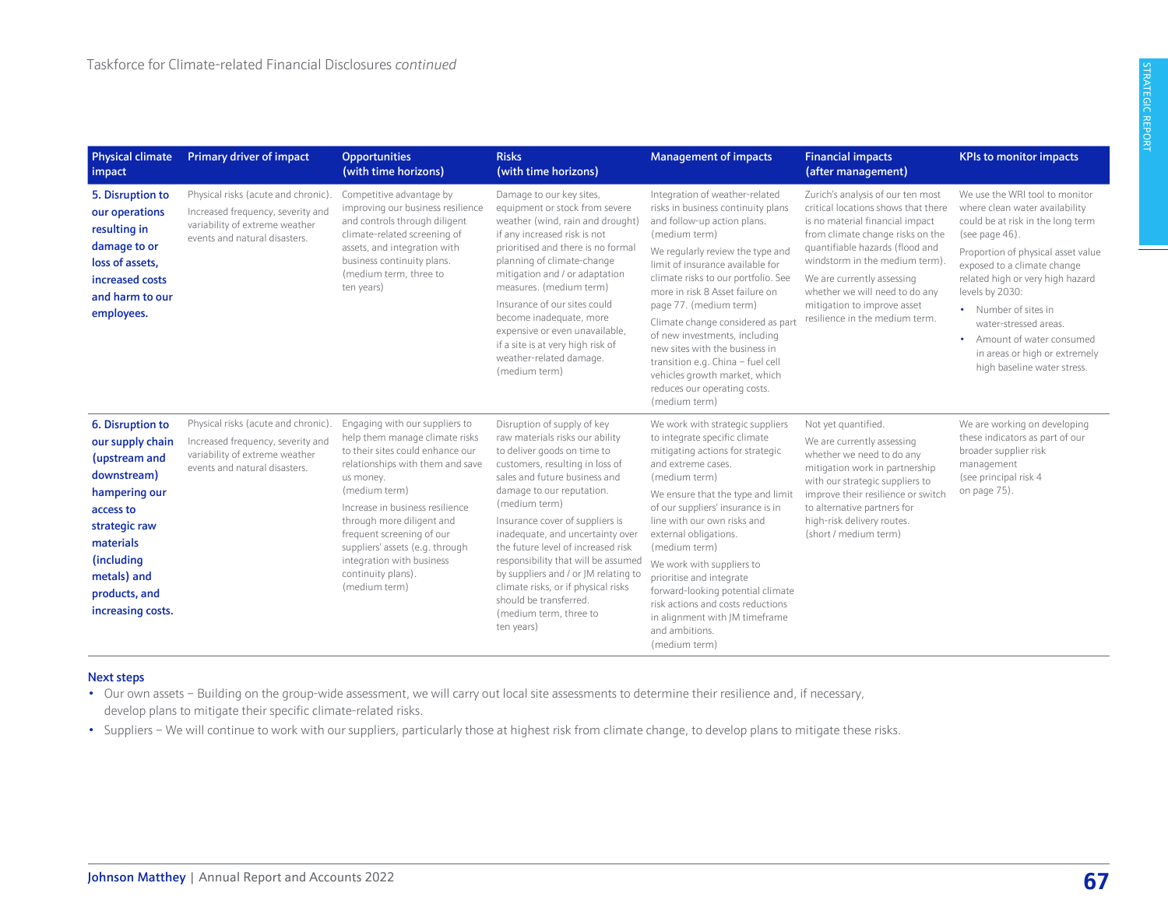| <b>Physical climate</b><br>impact                                                                                                                                                                   | <b>Primary driver of impact</b>                                                                                                             | <b>Opportunities</b><br>(with time horizons)                                                                                                                                                                                                                                                                                                                               | <b>Risks</b><br>(with time horizons)                                                                                                                                                                                                                                                                                                                                                                                                                                                                                 | <b>Management of impacts</b>                                                                                                                                                                                                                                                                                                                                                                                                                                                                                                    | <b>Financial impacts</b><br>(after management)                                                                                                                                                                                                                                                                                                        | <b>KPIs to monitor impacts</b>                                                                                                                                                                                                                                                                                                                                                                        |
|-----------------------------------------------------------------------------------------------------------------------------------------------------------------------------------------------------|---------------------------------------------------------------------------------------------------------------------------------------------|----------------------------------------------------------------------------------------------------------------------------------------------------------------------------------------------------------------------------------------------------------------------------------------------------------------------------------------------------------------------------|----------------------------------------------------------------------------------------------------------------------------------------------------------------------------------------------------------------------------------------------------------------------------------------------------------------------------------------------------------------------------------------------------------------------------------------------------------------------------------------------------------------------|---------------------------------------------------------------------------------------------------------------------------------------------------------------------------------------------------------------------------------------------------------------------------------------------------------------------------------------------------------------------------------------------------------------------------------------------------------------------------------------------------------------------------------|-------------------------------------------------------------------------------------------------------------------------------------------------------------------------------------------------------------------------------------------------------------------------------------------------------------------------------------------------------|-------------------------------------------------------------------------------------------------------------------------------------------------------------------------------------------------------------------------------------------------------------------------------------------------------------------------------------------------------------------------------------------------------|
| 5. Disruption to<br>our operations<br>resulting in<br>damage to or<br>loss of assets,<br>increased costs<br>and harm to our<br>employees.                                                           | Physical risks (acute and chronic).<br>Increased frequency, severity and<br>variability of extreme weather<br>events and natural disasters. | Competitive advantage by<br>improving our business resilience<br>and controls through diligent<br>climate-related screening of<br>assets, and integration with<br>business continuity plans.<br>(medium term, three to<br>ten years)                                                                                                                                       | Damage to our key sites,<br>equipment or stock from severe<br>weather (wind, rain and drought)<br>if any increased risk is not<br>prioritised and there is no formal<br>planning of climate-change<br>mitigation and / or adaptation<br>measures. (medium term)<br>Insurance of our sites could<br>become inadequate, more<br>expensive or even unavailable,<br>if a site is at very high risk of<br>weather-related damage.<br>(medium term)                                                                        | Integration of weather-related<br>risks in business continuity plans<br>and follow-up action plans.<br>(medium term)<br>We regularly review the type and<br>limit of insurance available for<br>climate risks to our portfolio. See<br>more in risk 8 Asset failure on<br>page 77. (medium term)<br>Climate change considered as part<br>of new investments, including<br>new sites with the business in<br>transition e.g. China - fuel cell<br>vehicles growth market, which<br>reduces our operating costs.<br>(medium term) | Zurich's analysis of our ten most<br>critical locations shows that there<br>is no material financial impact<br>from climate change risks on the<br>quantifiable hazards (flood and<br>windstorm in the medium term).<br>We are currently assessing<br>whether we will need to do any<br>mitigation to improve asset<br>resilience in the medium term. | We use the WRI tool to monitor<br>where clean water availability<br>could be at risk in the long term<br>(see page $46$ ).<br>Proportion of physical asset value<br>exposed to a climate change<br>related high or very high hazard<br>levels by 2030:<br>• Number of sites in<br>water-stressed areas.<br>• Amount of water consumed<br>in areas or high or extremely<br>high baseline water stress. |
| 6. Disruption to<br>our supply chain<br>(upstream and<br>downstream)<br>hampering our<br>access to<br>strategic raw<br>materials<br>(including<br>metals) and<br>products, and<br>increasing costs. | Physical risks (acute and chronic).<br>Increased frequency, severity and<br>variability of extreme weather<br>events and natural disasters. | Engaging with our suppliers to<br>help them manage climate risks<br>to their sites could enhance our<br>relationships with them and save<br>us money.<br>(medium term)<br>Increase in business resilience<br>through more diligent and<br>frequent screening of our<br>suppliers' assets (e.g. through<br>integration with business<br>continuity plans).<br>(medium term) | Disruption of supply of key<br>raw materials risks our ability<br>to deliver goods on time to<br>customers, resulting in loss of<br>sales and future business and<br>damage to our reputation.<br>(medium term)<br>Insurance cover of suppliers is<br>inadequate, and uncertainty over<br>the future level of increased risk<br>responsibility that will be assumed<br>by suppliers and / or JM relating to<br>climate risks, or if physical risks<br>should be transferred.<br>(medium term, three to<br>ten years) | We work with strategic suppliers<br>to integrate specific climate<br>mitigating actions for strategic<br>and extreme cases.<br>(medium term)<br>We ensure that the type and limit<br>of our suppliers' insurance is in<br>line with our own risks and<br>external obligations.<br>(medium term)<br>We work with suppliers to<br>prioritise and integrate<br>forward-looking potential climate<br>risk actions and costs reductions<br>in alignment with JM timeframe<br>and ambitions.<br>(medium term)                         | Not yet quantified.<br>We are currently assessing<br>whether we need to do any<br>mitigation work in partnership<br>with our strategic suppliers to<br>improve their resilience or switch<br>to alternative partners for<br>high-risk delivery routes.<br>(short / medium term)                                                                       | We are working on developing<br>these indicators as part of our<br>broader supplier risk<br>management<br>(see principal risk 4<br>on page 75).                                                                                                                                                                                                                                                       |

#### Next steps

- Our own assets Building on the group-wide assessment, we will carry out local site assessments to determine their resilience and, if necessary, develop plans to mitigate their specific climate-related risks.
- Suppliers We will continue to work with our suppliers, particularly those at highest risk from climate change, to develop plans to mitigate these risks.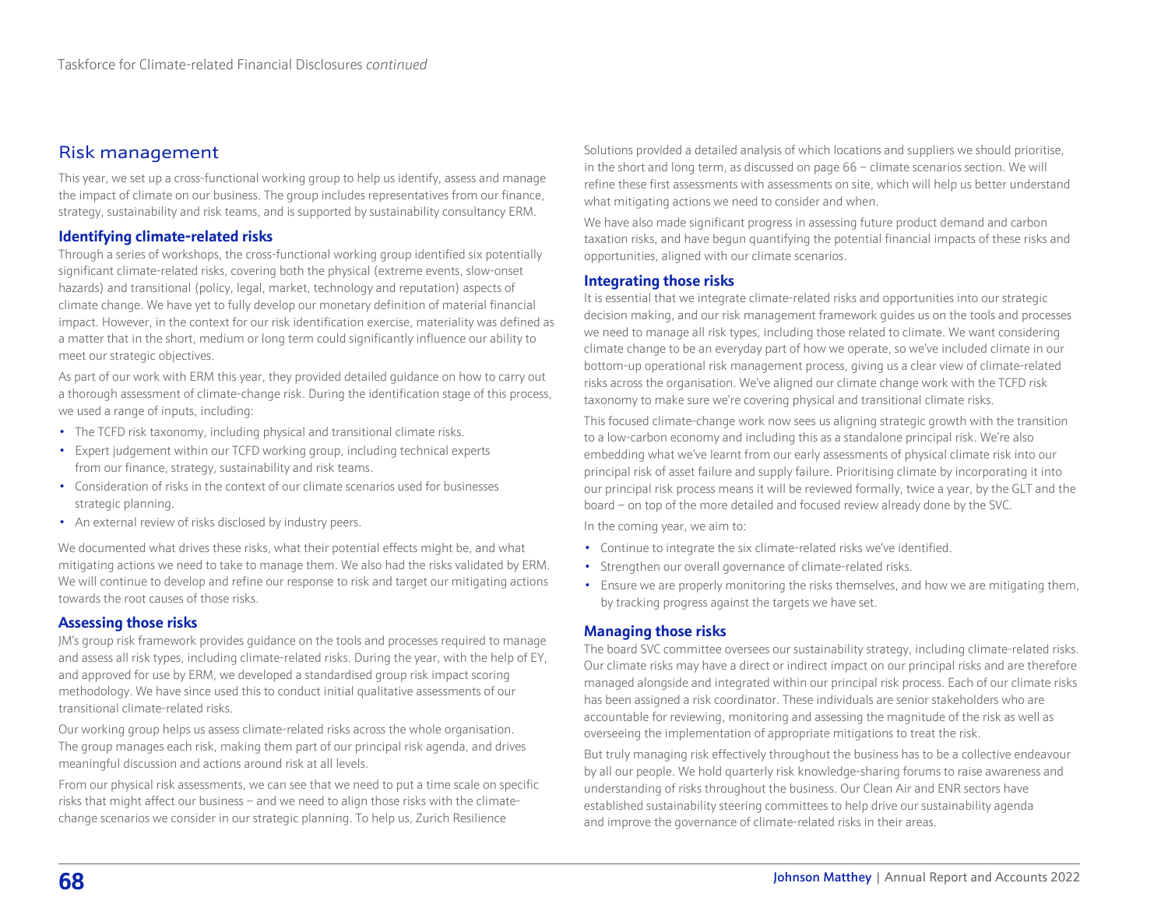# Risk management

This year, we set up a cross-functional working group to help us identify, assess and manage the impact of climate on our business. The group includes representatives from our finance, strategy, sustainability and risk teams, and is supported by sustainability consultancy ERM.

#### **Identifying climate-related risks**

Through a series of workshops, the cross-functional working group identified six potentially significant climate-related risks, covering both the physical (extreme events, slow-onset hazards) and transitional (policy, legal, market, technology and reputation) aspects of climate change. We have yet to fully develop our monetary definition of material financial impact. However, in the context for our risk identification exercise, materiality was defined as a matter that in the short, medium or long term could significantly influence our ability to meet our strategic objectives.

As part of our work with ERM this year, they provided detailed guidance on how to carry out a thorough assessment of climate-change risk. During the identification stage of this process, we used a range of inputs, including:

- The TCFD risk taxonomy, including physical and transitional climate risks.
- Expert judgement within our TCFD working group, including technical experts from our finance, strategy, sustainability and risk teams.
- Consideration of risks in the context of our climate scenarios used for businesses strategic planning.
- An external review of risks disclosed by industry peers.

We documented what drives these risks, what their potential effects might be, and what mitigating actions we need to take to manage them. We also had the risks validated by ERM. We will continue to develop and refine our response to risk and target our mitigating actions towards the root causes of those risks.

#### **Assessing those risks**

JM's group risk framework provides guidance on the tools and processes required to manage and assess all risk types, including climate-related risks. During the year, with the help of EY, and approved for use by ERM, we developed a standardised group risk impact scoring methodology. We have since used this to conduct initial qualitative assessments of our transitional climate-related risks.

Our working group helps us assess climate-related risks across the whole organisation. The group manages each risk, making them part of our principal risk agenda, and drives meaningful discussion and actions around risk at all levels.

From our physical risk assessments, we can see that we need to put a time scale on specific risks that might affect our business – and we need to align those risks with the climatechange scenarios we consider in our strategic planning. To help us, Zurich Resilience

Solutions provided a detailed analysis of which locations and suppliers we should prioritise, in the short and long term, [as discussed on page 66](#page-6-0) – climate scenarios section. We will refine these first assessments with assessments on site, which will help us better understand what mitigating actions we need to consider and when.

We have also made significant progress in assessing future product demand and carbon taxation risks, and have begun quantifying the potential financial impacts of these risks and opportunities, aligned with our climate scenarios.

#### **Integrating those risks**

It is essential that we integrate climate-related risks and opportunities into our strategic decision making, and our risk management framework guides us on the tools and processes we need to manage all risk types, including those related to climate. We want considering climate change to be an everyday part of how we operate, so we've included climate in our bottom-up operational risk management process, giving us a clear view of climate-related risks across the organisation. We've aligned our climate change work with the TCFD risk taxonomy to make sure we're covering physical and transitional climate risks.

This focused climate-change work now sees us aligning strategic growth with the transition to a low-carbon economy and including this as a standalone principal risk. We're also embedding what we've learnt from our early assessments of physical climate risk into our principal risk of asset failure and supply failure. Prioritising climate by incorporating it into our principal risk process means it will be reviewed formally, twice a year, by the GLT and the board – on top of the more detailed and focused review already done by the SVC.

In the coming year, we aim to:

- Continue to integrate the six climate-related risks we've identified.
- Strengthen our overall governance of climate-related risks.
- Ensure we are properly monitoring the risks themselves, and how we are mitigating them, by tracking progress against the targets we have set.

#### **Managing those risks**

The board SVC committee oversees our sustainability strategy, including climate-related risks. Our climate risks may have a direct or indirect impact on our principal risks and are therefore managed alongside and integrated within our principal risk process. Each of our climate risks has been assigned a risk coordinator. These individuals are senior stakeholders who are accountable for reviewing, monitoring and assessing the magnitude of the risk as well as overseeing the implementation of appropriate mitigations to treat the risk.

But truly managing risk effectively throughout the business has to be a collective endeavour by all our people. We hold quarterly risk knowledge-sharing forums to raise awareness and understanding of risks throughout the business. Our Clean Air and ENR sectors have established sustainability steering committees to help drive our sustainability agenda and improve the governance of climate-related risks in their areas.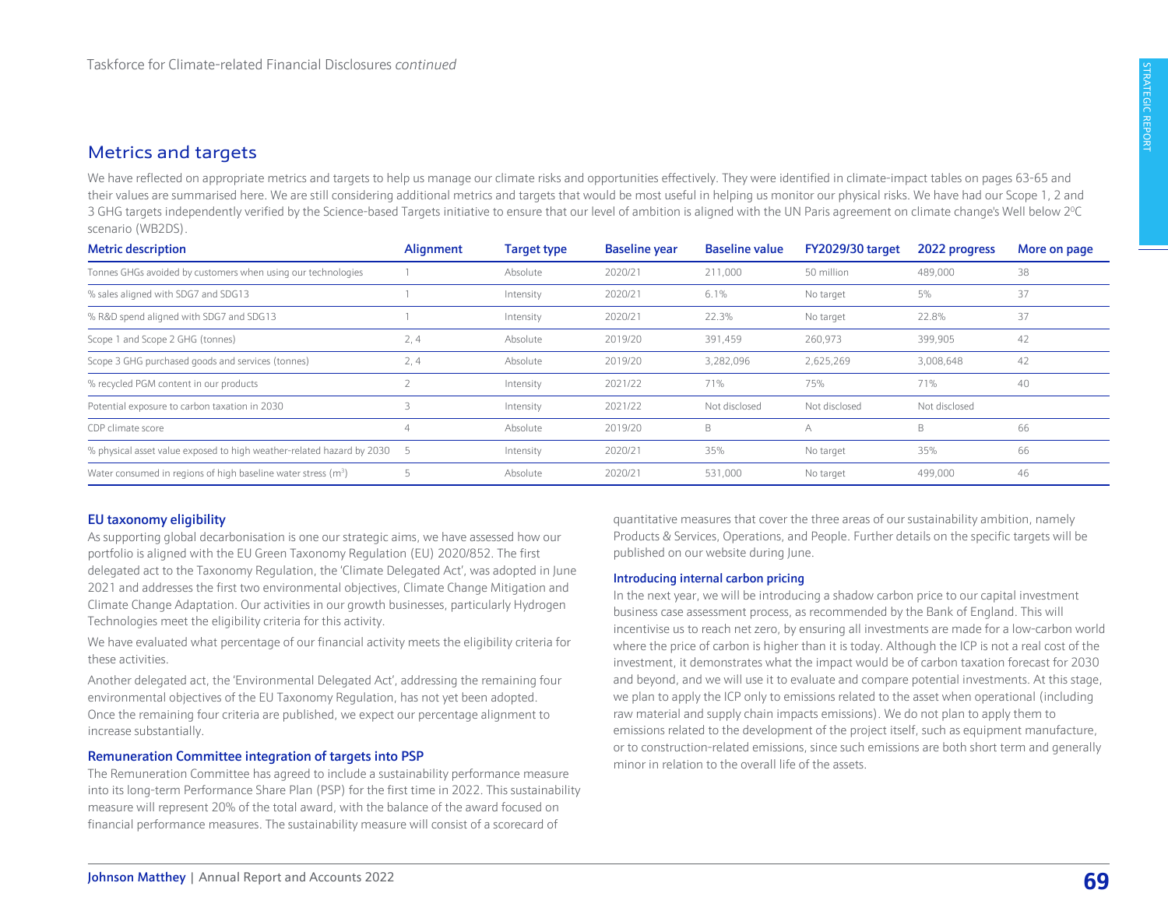# <span id="page-9-0"></span>Metrics and targets

We have reflected on appropriate metrics and targets to help us manage our climate risks and opportunities effectively. They were identified in climate-impact tables on [pages 63-65](#page-3-0) and their values are summarised here. We are still considering additional metrics and targets that would be most useful in helping us monitor our physical risks. We have had our Scope 1, 2 and 3 GHG targets independently verified by the Science-based Targets initiative to ensure that our level of ambition is aligned with the UN Paris agreement on climate change's Well below 2<sup>0</sup> C scenario (WB2DS).

| <b>Metric description</b>                                               | Alignment | <b>Target type</b> | <b>Baseline year</b> | <b>Baseline value</b> | <b>FY2029/30 target</b> | 2022 progress | More on page |
|-------------------------------------------------------------------------|-----------|--------------------|----------------------|-----------------------|-------------------------|---------------|--------------|
| Tonnes GHGs avoided by customers when using our technologies            |           | Absolute           | 2020/21              | 211,000               | 50 million              | 489,000       | 38           |
| % sales aligned with SDG7 and SDG13                                     |           | Intensity          | 2020/21              | 6.1%                  | No target               | 5%            | 37           |
| % R&D spend aligned with SDG7 and SDG13                                 |           | Intensity          | 2020/21              | 22.3%                 | No target               | 22.8%         | 37           |
| Scope 1 and Scope 2 GHG (tonnes)                                        | 2,4       | Absolute           | 2019/20              | 391,459               | 260,973                 | 399,905       | 42           |
| Scope 3 GHG purchased goods and services (tonnes)                       | 2, 4      | Absolute           | 2019/20              | 3,282,096             | 2,625,269               | 3,008,648     | 42           |
| % recycled PGM content in our products                                  |           | Intensity          | 2021/22              | 71%                   | 75%                     | 71%           | 40           |
| Potential exposure to carbon taxation in 2030                           |           | Intensity          | 2021/22              | Not disclosed         | Not disclosed           | Not disclosed |              |
| CDP climate score                                                       |           | Absolute           | 2019/20              | B                     | A                       | B             | 66           |
| % physical asset value exposed to high weather-related hazard by 2030 5 |           | Intensity          | 2020/21              | 35%                   | No target               | 35%           | 66           |
| Water consumed in regions of high baseline water stress $(m3)$          |           | Absolute           | 2020/21              | 531.000               | No target               | 499,000       | 46           |

#### EU taxonomy eligibility

As supporting global decarbonisation is one our strategic aims, we have assessed how our portfolio is aligned with the EU Green Taxonomy Regulation (EU) 2020/852. The first delegated act to the Taxonomy Regulation, the 'Climate Delegated Act', was adopted in June 2021 and addresses the first two environmental objectives, Climate Change Mitigation and Climate Change Adaptation. Our activities in our growth businesses, particularly Hydrogen Technologies meet the eligibility criteria for this activity.

We have evaluated what percentage of our financial activity meets the eligibility criteria for these activities.

Another delegated act, the 'Environmental Delegated Act', addressing the remaining four environmental objectives of the EU Taxonomy Regulation, has not yet been adopted. Once the remaining four criteria are published, we expect our percentage alignment to increase substantially.

#### Remuneration Committee integration of targets into PSP

The Remuneration Committee has agreed to include a sustainability performance measure into its long-term Performance Share Plan (PSP) for the first time in 2022. This sustainability measure will represent 20% of the total award, with the balance of the award focused on financial performance measures. The sustainability measure will consist of a scorecard of

quantitative measures that cover the three areas of our sustainability ambition, namely Products & Services, Operations, and People. Further details on the specific targets will be published on our website during June.

#### Introducing internal carbon pricing

In the next year, we will be introducing a shadow carbon price to our capital investment business case assessment process, as recommended by the Bank of England. This will incentivise us to reach net zero, by ensuring all investments are made for a low-carbon world where the price of carbon is higher than it is today. Although the ICP is not a real cost of the investment, it demonstrates what the impact would be of carbon taxation forecast for 2030 and beyond, and we will use it to evaluate and compare potential investments. At this stage, we plan to apply the ICP only to emissions related to the asset when operational (including raw material and supply chain impacts emissions). We do not plan to apply them to emissions related to the development of the project itself, such as equipment manufacture, or to construction-related emissions, since such emissions are both short term and generally minor in relation to the overall life of the assets.